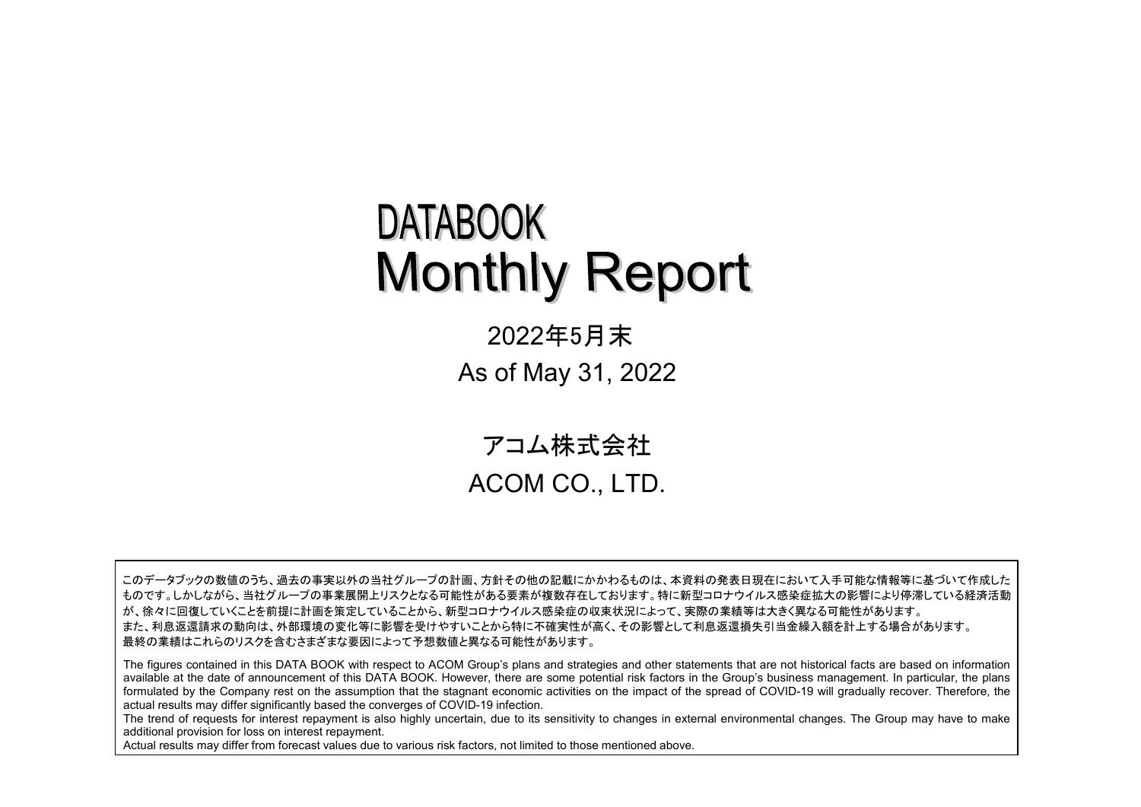# **DATABOOK Monthly Report**

2022年5月末 As of May 31, 2022

 アコム株式会社 ACOM CO., LTD.

このデータブックの数値のうち、過去の事実以外の当社グループの計画、方針その他の記載にかかわるものは、本資料の発表日現在において入手可能な情報等に基づいて作成した ものです。しかしながら、当社グループの事業展開上リスクとなる可能性がある要素が複数存在しております。特に新型コロナウイルス感染症拡大の影響により停滞している経済活動 が、徐々に回復していくことを前提に計画を策定していることから、新型コロナウイルス感染症の収束状況によって、実際の業績等は大きく異なる可能性があります。 また、利息返還請求の動向は、外部環境の変化等に影響を受けやすいことから特に不確実性が高く、その影響として利息返還損失引当金繰入額を計上する場合があります。 最終の業績はこれらのリスクを含むさまざまな要因によって予想数値と異なる可能性があります。

The figures contained in this DATA BOOK with respect to ACOM Group's plans and strategies and other statements that are not historical facts are based on information available at the date of announcement of this DATA BOOK. However, there are some potential risk factors in the Group's business management. In particular, the plans formulated by the Company rest on the assumption that the stagnant economic activities on the impact of the spread of COVID-19 will gradually recover. Therefore, the actual results may differ significantly based the converges of COVID-19 infection.

The trend of requests for interest repayment is also highly uncertain, due to its sensitivity to changes in external environmental changes. The Group may have to make additional provision for loss on interest repayment.

Actual results may differ from forecast values due to various risk factors, not limited to those mentioned above.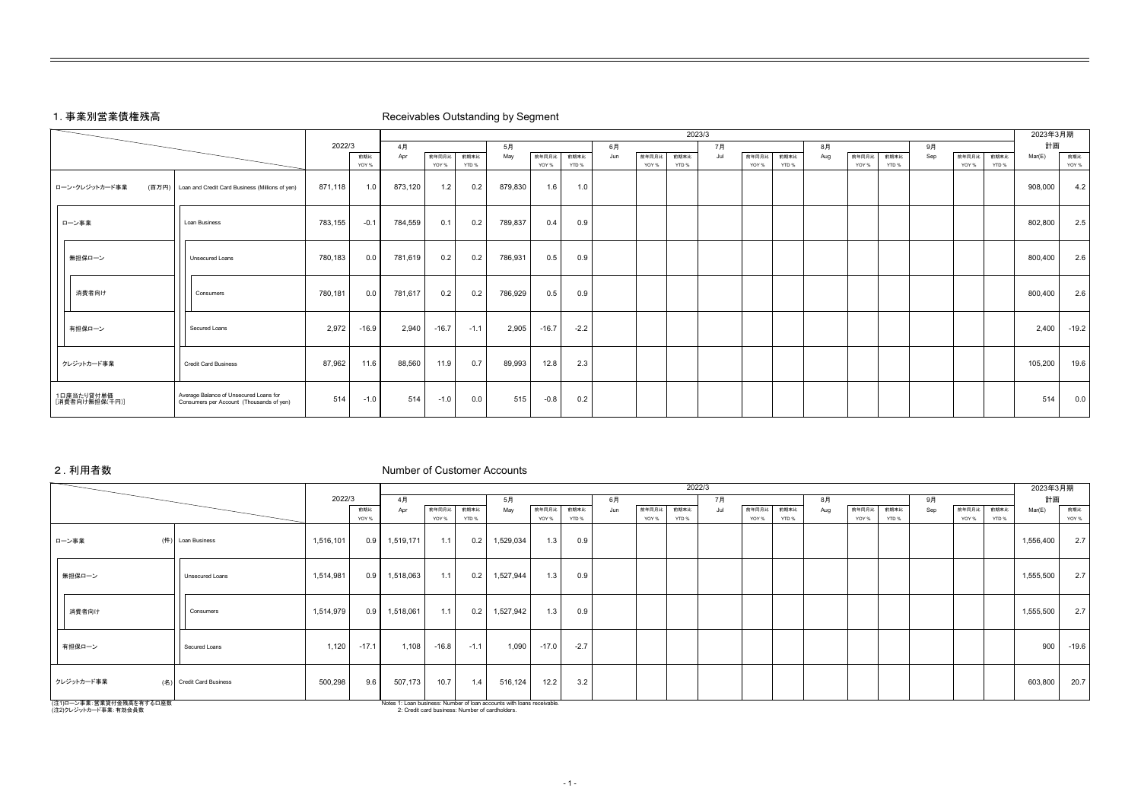# 1. 事業別営業債権残高 Receivables Outstanding by Segment

|                              |                                                                                    |         | 2023/3  |         |         |        |         |         |        |     |       |       |     |       |       | 2023年3月期 |       |       |     |       |       |         |         |
|------------------------------|------------------------------------------------------------------------------------|---------|---------|---------|---------|--------|---------|---------|--------|-----|-------|-------|-----|-------|-------|----------|-------|-------|-----|-------|-------|---------|---------|
|                              |                                                                                    | 2022/3  |         | 4月      |         |        | 5月      |         |        | 6月  |       |       | 7月  |       |       | 8月       |       |       | 9月  |       |       | 計画      |         |
|                              |                                                                                    |         | 前期比     | Apr     | 前年同月比   | 前期末比   | May     | 前年同月比   | 前期末比   | Jun | 前年同月比 | 前期末比  | Jul | 前年同月比 | 前期末比  | Aug      | 前年同月比 | 前期末比  | Sep | 前年同月比 | 前期末比  | Mar(E)  | 前期比     |
|                              |                                                                                    |         | YOY %   |         | YOY %   | YTD %  |         | YOY %   | YTD %  |     | YOY % | YTD % |     | YOY % | YTD % |          | YOY % | YTD % |     | YOY % | YTD % |         | YOY %   |
| (百万円)<br>ローン・クレジットカード事業      | Loan and Credit Card Business (Millions of yen)                                    | 871,118 | 1.0     | 873,120 | 1.2     | 0.2    | 879,830 | 1.6     | 1.0    |     |       |       |     |       |       |          |       |       |     |       |       | 908,000 | 4.2     |
| ローン事業                        | Loan Business                                                                      | 783,155 | $-0.1$  | 784,559 | 0.1     | 0.2    | 789,837 | 0.4     | 0.9    |     |       |       |     |       |       |          |       |       |     |       |       | 802,800 | 2.5     |
| 無担保ローン                       | Unsecured Loans                                                                    | 780,183 | 0.0     | 781,619 | 0.2     | 0.2    | 786,931 | 0.5     | 0.9    |     |       |       |     |       |       |          |       |       |     |       |       | 800,400 | 2.6     |
| 消費者向け                        | Consumers                                                                          | 780,181 | 0.0     | 781,617 | 0.2     | 0.2    | 786,929 | 0.5     | 0.9    |     |       |       |     |       |       |          |       |       |     |       |       | 800,400 | 2.6     |
| 有担保ローン                       | Secured Loans                                                                      | 2,972   | $-16.9$ | 2,940   | $-16.7$ | $-1.1$ | 2,905   | $-16.7$ | $-2.2$ |     |       |       |     |       |       |          |       |       |     |       |       | 2,400   | $-19.2$ |
| クレジットカード事業                   | <b>Credit Card Business</b>                                                        | 87,962  | 11.6    | 88,560  | 11.9    | 0.7    | 89,993  | 12.8    | 2.3    |     |       |       |     |       |       |          |       |       |     |       |       | 105,200 | 19.6    |
| 1口座当たり貸付単価<br>[消費者向け無担保(千円)] | Average Balance of Unsecured Loans for<br>Consumers per Account (Thousands of yen) | 514     | $-1.0$  | 514     | $-1.0$  | 0.0    | 515     | $-0.8$  | 0.2    |     |       |       |     |       |       |          |       |       |     |       |       | 514     | 0.0     |

# 2. 利用者数 Number of Customer Accounts

|                                                  |                          |           |         |           |                                                 |        |                                                                        |         |        |     |       |       | 2022/3 |       |       |     |       |       |     |       |       | 2023年3月期  |         |
|--------------------------------------------------|--------------------------|-----------|---------|-----------|-------------------------------------------------|--------|------------------------------------------------------------------------|---------|--------|-----|-------|-------|--------|-------|-------|-----|-------|-------|-----|-------|-------|-----------|---------|
|                                                  |                          | 2022/3    |         | 4月        |                                                 |        | 5月                                                                     |         |        | 6月  |       |       | 7月     |       |       | 8月  |       |       | 9月  |       |       | 計画        |         |
|                                                  |                          |           | 前期比     | Apr       | 前年同月比                                           | 前期末比   | May                                                                    | 前年同月比   | 前期末比   | Jun | 前年同月比 | 前期末比  | Jul    | 前年同月比 | 前期末比  | Aug | 前年同月比 | 前期末比  | Sep | 前年同月比 | 前期末比  | Mar(E)    | 前期比     |
|                                                  |                          |           | YOY %   |           | YOY %                                           | YTD %  |                                                                        | YOY %   | YTD %  |     | YOY % | YTD % |        | YOY % | YTD % |     | YOY % | YTD % |     | YOY % | YTD % |           | YOY %   |
| ローン事業                                            | (件) Loan Business        | 1,516,101 | 0.9     | 1,519,171 | 1.1                                             | 0.2    | 1,529,034                                                              | 1.3     | 0.9    |     |       |       |        |       |       |     |       |       |     |       |       | 1,556,400 | 2.7     |
| 無担保ローン                                           | Unsecured Loans          | 1,514,981 | 0.9     | 1,518,063 | 1.1                                             | 0.2    | 1,527,944                                                              | 1.3     | 0.9    |     |       |       |        |       |       |     |       |       |     |       |       | 1,555,500 | 2.7     |
| 消費者向け                                            | Consumers                | 1,514,979 | 0.9     | 1,518,061 | 1.1                                             | 0.2    | 1,527,942                                                              | 1.3     | 0.9    |     |       |       |        |       |       |     |       |       |     |       |       | 1,555,500 | 2.7     |
| 有担保ローン                                           | Secured Loans            | 1,120     | $-17.1$ | 1.108     | $-16.8$                                         | $-1.1$ | 1,090                                                                  | $-17.0$ | $-2.7$ |     |       |       |        |       |       |     |       |       |     |       |       | 900       | $-19.6$ |
| クレジットカード事業                                       | (名) Credit Card Business | 500,298   | 9.6     | 507,173   | 10.7                                            | 1.4    | 516,124                                                                | 12.2    | 3.2    |     |       |       |        |       |       |     |       |       |     |       |       | 603,800   | 20.7    |
| (注1)ローン事業:営業貸付金残高を有する口座数<br>(注2)クレジットカード事業:有効会員数 |                          |           |         |           | 2: Credit card business: Number of cardholders. |        | Notes 1: Loan business: Number of loan accounts with loans receivable. |         |        |     |       |       |        |       |       |     |       |       |     |       |       |           |         |